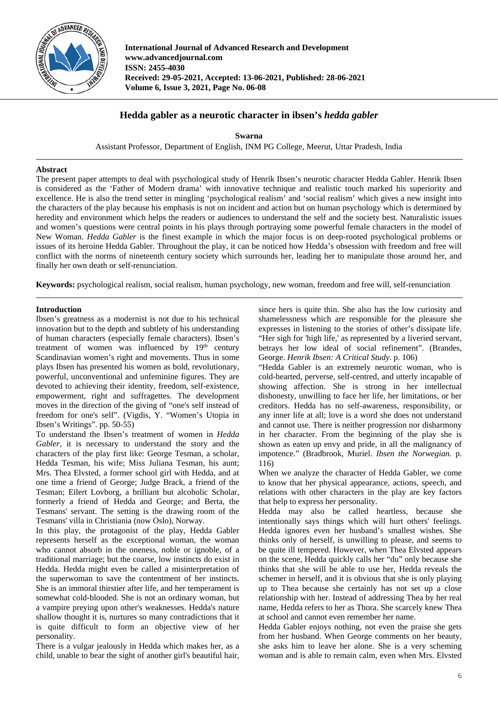

**International Journal of Advanced Research and Development www.advancedjournal.com ISSN: 2455-4030 Received: 29-05-2021, Accepted: 13-06-2021, Published: 28-06-2021 Volume 6, Issue 3, 2021, Page No. 06-08**

## **Hedda gabler as a neurotic character in ibsen's** *hedda gabler*

**Swarna** Assistant Professor, Department of English, INM PG College, Meerut, Uttar Pradesh, India

## **Abstract**

The present paper attempts to deal with psychological study of Henrik Ibsen's neurotic character Hedda Gabler. Henrik Ibsen is considered as the 'Father of Modern drama' with innovative technique and realistic touch marked his superiority and excellence. He is also the trend setter in mingling 'psychological realism' and 'social realism' which gives a new insight into the characters of the play because his emphasis is not on incident and action but on human psychology which is determined by heredity and environment which helps the readers or audiences to understand the self and the society best. Naturalistic issues and women's questions were central points in his plays through portraying some powerful female characters in the model of New Woman. *Hedda Gabler* is the finest example in which the major focus is on deep-rooted psychological problems or issues of its heroine Hedda Gabler. Throughout the play, it can be noticed how Hedda's obsession with freedom and free will conflict with the norms of nineteenth century society which surrounds her, leading her to manipulate those around her, and finally her own death or self-renunciation.

**Keywords:** psychological realism, social realism, human psychology, new woman, freedom and free will, self-renunciation

## **Introduction**

Ibsen's greatness as a modernist is not due to his technical innovation but to the depth and subtlety of his understanding of human characters (especially female characters). Ibsen's treatment of women was influenced by  $19<sup>th</sup>$  century Scandinavian women's right and movements. Thus in some plays Ibsen has presented his women as bold, revolutionary, powerful, unconventional and unfeminine figures. They are devoted to achieving their identity, freedom, self-existence, empowerment, right and suffragettes. The development moves in the direction of the giving of "one's self instead of freedom for one's self". (Vigdis, Y. "Women's Utopia in Ibsen's Writings". pp. 50-55)

To understand the Ibsen's treatment of women in *Hedda Gabler*, it is necessary to understand the story and the characters of the play first like: George Tesman, a scholar, Hedda Tesman, his wife; Miss Juliana Tesman, his aunt; Mrs. Thea Elvsted, a former school girl with Hedda, and at one time a friend of George; Judge Brack, a friend of the Tesman; Eilert Lovborg, a brilliant but alcoholic Scholar, formerly a friend of Hedda and George; and Berta, the Tesmans' servant. The setting is the drawing room of the Tesmans' villa in Christiania (now Oslo), Norway.

In this play, the protagonist of the play, Hedda Gabler represents herself as the exceptional woman, the woman who cannot absorb in the oneness, noble or ignoble, of a traditional marriage; but the coarse, low instincts do exist in Hedda. Hedda might even be called a misinterpretation of the superwoman to save the contentment of her instincts. She is an immoral thirstier after life, and her temperament is somewhat cold-blooded. She is not an ordinary woman, but a vampire preying upon other's weaknesses. Hedda's nature shallow thought it is, nurtures so many contradictions that it is quite difficult to form an objective view of her personality.

There is a vulgar jealously in Hedda which makes her, as a child, unable to bear the sight of another girl's beautiful hair,

since hers is quite thin. She also has the low curiosity and shamelessness which are responsible for the pleasure she expresses in listening to the stories of other's dissipate life. "Her sigh for 'high life,' as represented by a liveried servant, betrays her low ideal of social refinement". (Brandes, George. *Henrik Ibsen: A Critical Study*. p. 106)

"Hedda Gabler is an extremely neurotic woman, who is cold-hearted, perverse, self-centred, and utterly incapable of showing affection. She is strong in her intellectual dishonesty, unwilling to face her life, her limitations, or her creditors. Hedda has no self-awareness, responsibility, or any inner life at all; love is a word she does not understand and cannot use. There is neither progression nor disharmony in her character. From the beginning of the play she is shown as eaten up envy and pride, in all the malignancy of impotence." (Bradbrook, Muriel. *Ibsen the Norwegian.* p. 116)

When we analyze the character of Hedda Gabler, we come to know that her physical appearance, actions, speech, and relations with other characters in the play are key factors that help to express her personality.

Hedda may also be called heartless, because she intentionally says things which will hurt others' feelings. Hedda ignores even her husband's smallest wishes. She thinks only of herself, is unwilling to please, and seems to be quite ill tempered. However, when Thea Elvsted appears on the scene, Hedda quickly calls her "du" only because she thinks that she will be able to use her, Hedda reveals the schemer in herself, and it is obvious that she is only playing up to Thea because she certainly has not set up a close relationship with her. Instead of addressing Thea by her real name, Hedda refers to her as Thora. She scarcely knew Thea at school and cannot even remember her name.

Hedda Gabler enjoys nothing, not even the praise she gets from her husband. When George comments on her beauty, she asks him to leave her alone. She is a very scheming woman and is able to remain calm, even when Mrs. Elvsted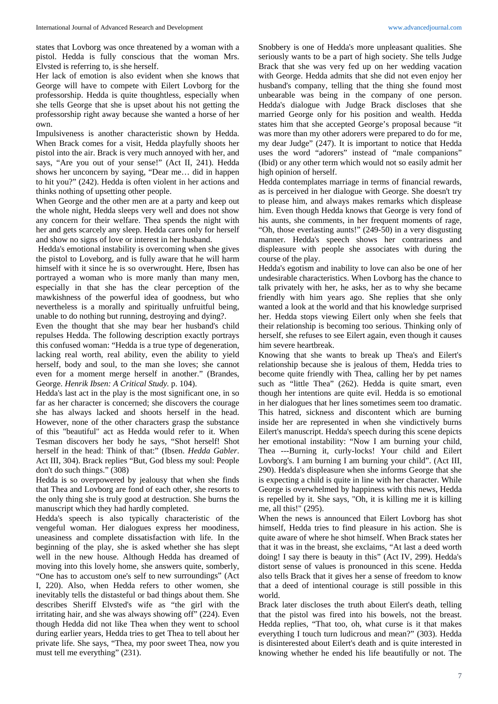states that Lovborg was once threatened by a woman with a pistol. Hedda is fully conscious that the woman Mrs. Elvsted is referring to, is she herself.

Her lack of emotion is also evident when she knows that George will have to compete with Eilert Lovborg for the professorship. Hedda is quite thoughtless, especially when she tells George that she is upset about his not getting the professorship right away because she wanted a horse of her own.

Impulsiveness is another characteristic shown by Hedda. When Brack comes for a visit, Hedda playfully shoots her pistol into the air. Brack is very much annoyed with her, and says, "Are you out of your sense!" (Act II, 241). Hedda shows her unconcern by saying, "Dear me… did in happen to hit you?" (242). Hedda is often violent in her actions and thinks nothing of upsetting other people.

When George and the other men are at a party and keep out the whole night, Hedda sleeps very well and does not show any concern for their welfare. Thea spends the night with her and gets scarcely any sleep. Hedda cares only for herself and show no signs of love or interest in her husband.

Hedda's emotional instability is overcoming when she gives the pistol to Loveborg, and is fully aware that he will harm himself with it since he is so overwrought. Here, Ibsen has portrayed a woman who is more manly than many men, especially in that she has the clear perception of the mawkishness of the powerful idea of goodness, but who nevertheless is a morally and spiritually unfruitful being, unable to do nothing but running, destroying and dying?.

Even the thought that she may bear her husband's child repulses Hedda. The following description exactly portrays this confused woman: "Hedda is a true type of degeneration, lacking real worth, real ability, even the ability to yield herself, body and soul, to the man she loves; she cannot even for a moment merge herself in another." (Brandes, George. *Henrik Ibsen: A Critical Study.* p. 104).

Hedda's last act in the play is the most significant one, in so far as her character is concerned; she discovers the courage she has always lacked and shoots herself in the head. However, none of the other characters grasp the substance of this "beautiful" act as Hedda would refer to it. When Tesman discovers her body he says, "Shot herself! Shot herself in the head: Think of that:" (Ibsen. *Hedda Gabler*. Act III, 304). Brack replies "But, God bless my soul: People don't do such things." (308)

Hedda is so overpowered by jealousy that when she finds that Thea and Lovborg are fond of each other, she resorts to the only thing she is truly good at destruction. She burns the manuscript which they had hardly completed.

Hedda's speech is also typically characteristic of the vengeful woman. Her dialogues express her moodiness, uneasiness and complete dissatisfaction with life. In the beginning of the play, she is asked whether she has slept well in the new house. Although Hedda has dreamed of moving into this lovely home, she answers quite, somberly, "One has to accustom one's self to new surroundings" (Act I, 220). Also, when Hedda refers to other women, she inevitably tells the distasteful or bad things about them. She describes Sheriff Elvsted's wife as "the girl with the irritating hair, and she was always showing off" (224). Even though Hedda did not like Thea when they went to school during earlier years, Hedda tries to get Thea to tell about her private life. She says, "Thea, my poor sweet Thea, now you must tell me everything" (231).

Snobbery is one of Hedda's more unpleasant qualities. She seriously wants to be a part of high society. She tells Judge Brack that she was very fed up on her wedding vacation with George. Hedda admits that she did not even enjoy her husband's company, telling that the thing she found most unbearable was being in the company of one person. Hedda's dialogue with Judge Brack discloses that she married George only for his position and wealth. Hedda states him that she accepted George's proposal because "it was more than my other adorers were prepared to do for me, my dear Judge" (247). It is important to notice that Hedda uses the word "adorers" instead of "male companions" (Ibid) or any other term which would not so easily admit her high opinion of herself.

Hedda contemplates marriage in terms of financial rewards, as is perceived in her dialogue with George. She doesn't try to please him, and always makes remarks which displease him. Even though Hedda knows that George is very fond of his aunts, she comments, in her frequent moments of rage, "Oh, those everlasting aunts!" (249-50) in a very disgusting manner. Hedda's speech shows her contrariness and displeasure with people she associates with during the course of the play.

Hedda's egotism and inability to love can also be one of her undesirable characteristics. When Lovborg has the chance to talk privately with her, he asks, her as to why she became friendly with him years ago. She replies that she only wanted a look at the world and that his knowledge surprised her. Hedda stops viewing Eilert only when she feels that their relationship is becoming too serious. Thinking only of herself, she refuses to see Eilert again, even though it causes him severe heartbreak.

Knowing that she wants to break up Thea's and Eilert's relationship because she is jealous of them, Hedda tries to become quite friendly with Thea, calling her by pet names such as "little Thea" (262). Hedda is quite smart, even though her intentions are quite evil. Hedda is so emotional in her dialogues that her lines sometimes seem too dramatic. This hatred, sickness and discontent which are burning inside her are represented in when she vindictively burns Eilert's manuscript. Hedda's speech during this scene depicts her emotional instability: "Now I am burning your child, Thea ---Burning it, curly-locks! Your child and Eilert Lovborg's. I am burning I am burning your child". (Act III, 290). Hedda's displeasure when she informs George that she is expecting a child is quite in line with her character. While George is overwhelmed by happiness with this news, Hedda is repelled by it. She says, "Oh, it is killing me it is killing me, all this!" (295).

When the news is announced that Eilert Lovborg has shot himself, Hedda tries to find pleasure in his action. She is quite aware of where he shot himself. When Brack states her that it was in the breast, she exclaims, "At last a deed worth doing! I say there is beauty in this" (Act IV, 299). Hedda's distort sense of values is pronounced in this scene. Hedda also tells Brack that it gives her a sense of freedom to know that a deed of intentional courage is still possible in this world.

Brack later discloses the truth about Eilert's death, telling that the pistol was fired into his bowels, not the breast. Hedda replies, "That too, oh, what curse is it that makes everything I touch turn ludicrous and mean?" (303). Hedda is disinterested about Eilert's death and is quite interested in knowing whether he ended his life beautifully or not. The